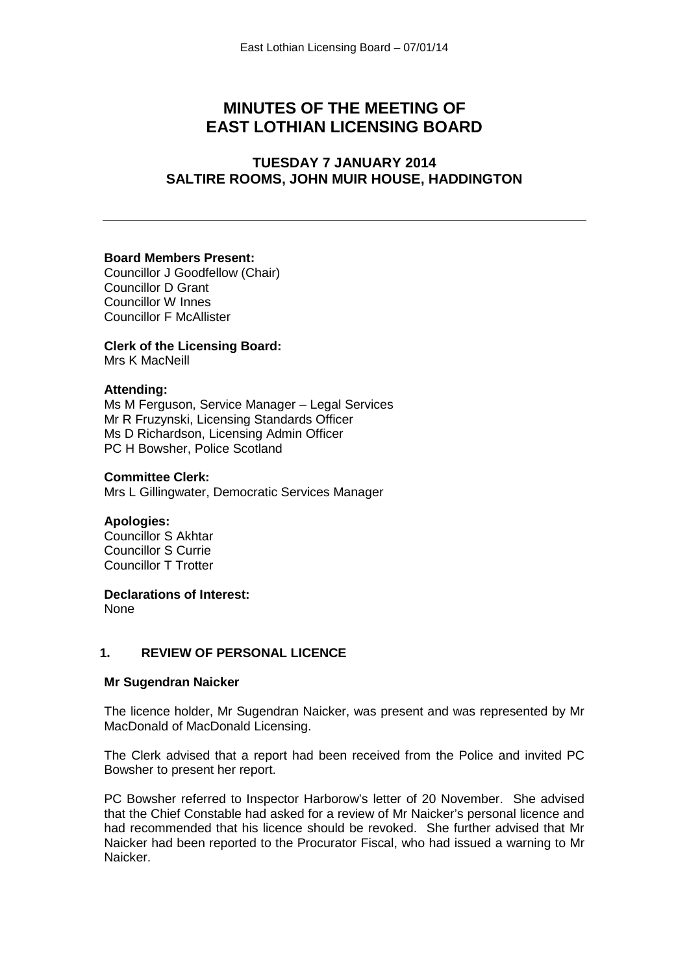# **MINUTES OF THE MEETING OF EAST LOTHIAN LICENSING BOARD**

# **TUESDAY 7 JANUARY 2014 SALTIRE ROOMS, JOHN MUIR HOUSE, HADDINGTON**

#### **Board Members Present:**

Councillor J Goodfellow (Chair) Councillor D Grant Councillor W Innes Councillor F McAllister

#### **Clerk of the Licensing Board:** Mrs K MacNeill

### **Attending:**

Ms M Ferguson, Service Manager – Legal Services Mr R Fruzynski, Licensing Standards Officer Ms D Richardson, Licensing Admin Officer PC H Bowsher, Police Scotland

#### **Committee Clerk:**

Mrs L Gillingwater, Democratic Services Manager

#### **Apologies:**

Councillor S Akhtar Councillor S Currie Councillor T Trotter

**Declarations of Interest:**

None

## **1. REVIEW OF PERSONAL LICENCE**

#### **Mr Sugendran Naicker**

The licence holder, Mr Sugendran Naicker, was present and was represented by Mr MacDonald of MacDonald Licensing.

The Clerk advised that a report had been received from the Police and invited PC Bowsher to present her report.

PC Bowsher referred to Inspector Harborow's letter of 20 November. She advised that the Chief Constable had asked for a review of Mr Naicker's personal licence and had recommended that his licence should be revoked. She further advised that Mr Naicker had been reported to the Procurator Fiscal, who had issued a warning to Mr Naicker.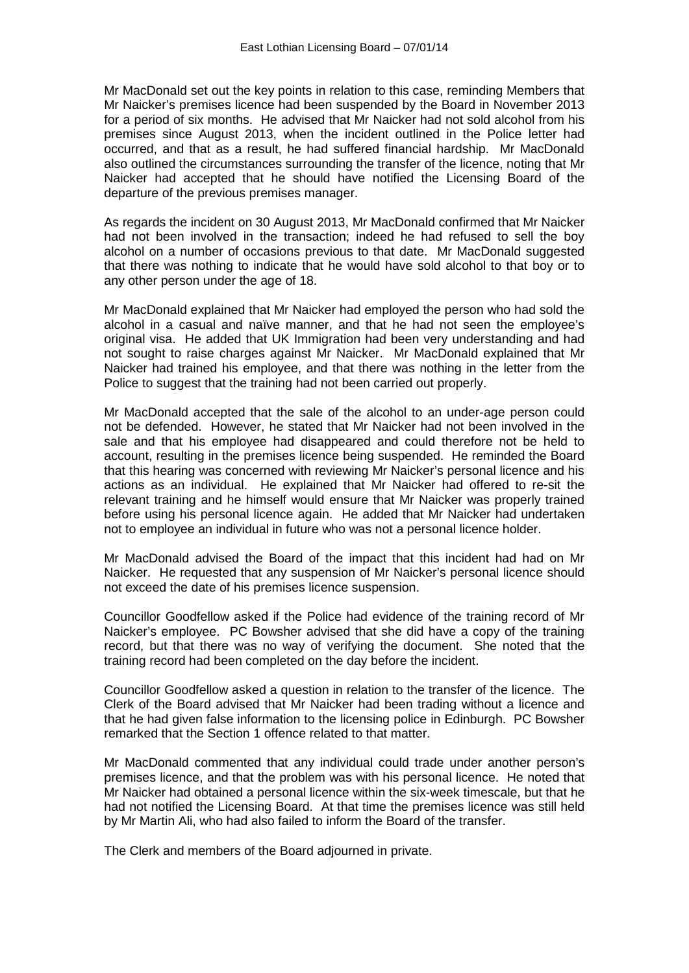Mr MacDonald set out the key points in relation to this case, reminding Members that Mr Naicker's premises licence had been suspended by the Board in November 2013 for a period of six months. He advised that Mr Naicker had not sold alcohol from his premises since August 2013, when the incident outlined in the Police letter had occurred, and that as a result, he had suffered financial hardship. Mr MacDonald also outlined the circumstances surrounding the transfer of the licence, noting that Mr Naicker had accepted that he should have notified the Licensing Board of the departure of the previous premises manager.

As regards the incident on 30 August 2013, Mr MacDonald confirmed that Mr Naicker had not been involved in the transaction; indeed he had refused to sell the boy alcohol on a number of occasions previous to that date. Mr MacDonald suggested that there was nothing to indicate that he would have sold alcohol to that boy or to any other person under the age of 18.

Mr MacDonald explained that Mr Naicker had employed the person who had sold the alcohol in a casual and naïve manner, and that he had not seen the employee's original visa. He added that UK Immigration had been very understanding and had not sought to raise charges against Mr Naicker. Mr MacDonald explained that Mr Naicker had trained his employee, and that there was nothing in the letter from the Police to suggest that the training had not been carried out properly.

Mr MacDonald accepted that the sale of the alcohol to an under-age person could not be defended. However, he stated that Mr Naicker had not been involved in the sale and that his employee had disappeared and could therefore not be held to account, resulting in the premises licence being suspended. He reminded the Board that this hearing was concerned with reviewing Mr Naicker's personal licence and his actions as an individual. He explained that Mr Naicker had offered to re-sit the relevant training and he himself would ensure that Mr Naicker was properly trained before using his personal licence again. He added that Mr Naicker had undertaken not to employee an individual in future who was not a personal licence holder.

Mr MacDonald advised the Board of the impact that this incident had had on Mr Naicker. He requested that any suspension of Mr Naicker's personal licence should not exceed the date of his premises licence suspension.

Councillor Goodfellow asked if the Police had evidence of the training record of Mr Naicker's employee. PC Bowsher advised that she did have a copy of the training record, but that there was no way of verifying the document. She noted that the training record had been completed on the day before the incident.

Councillor Goodfellow asked a question in relation to the transfer of the licence. The Clerk of the Board advised that Mr Naicker had been trading without a licence and that he had given false information to the licensing police in Edinburgh. PC Bowsher remarked that the Section 1 offence related to that matter.

Mr MacDonald commented that any individual could trade under another person's premises licence, and that the problem was with his personal licence. He noted that Mr Naicker had obtained a personal licence within the six-week timescale, but that he had not notified the Licensing Board. At that time the premises licence was still held by Mr Martin Ali, who had also failed to inform the Board of the transfer.

The Clerk and members of the Board adjourned in private.